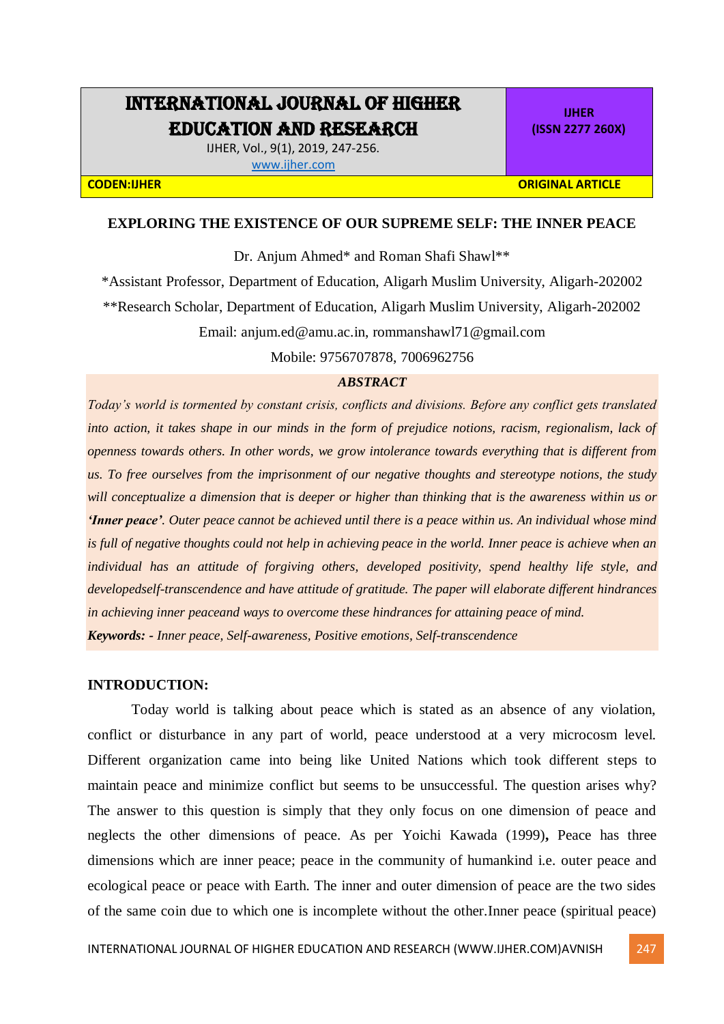# INTERNATIONAL JOURNAL OF HIGHER EDUCATION AND RESEARCH

IJHER, Vol., 9(1), 2019, 247-256. [www.ijher.com](http://www.ijher.com/)

**IJHER (ISSN 2277 260X)**

**CODEN:IJHER ORIGINAL ARTICLE** 

## **EXPLORING THE EXISTENCE OF OUR SUPREME SELF: THE INNER PEACE**

Dr. Anjum Ahmed\* and Roman Shafi Shawl\*\*

\*Assistant Professor, Department of Education, Aligarh Muslim University, Aligarh-202002 \*\*Research Scholar, Department of Education, Aligarh Muslim University, Aligarh-202002

Email: anjum.ed@amu.ac.in, rommanshawl71@gmail.com

Mobile: 9756707878, 7006962756

#### *ABSTRACT*

*Today's world is tormented by constant crisis, conflicts and divisions. Before any conflict gets translated into action, it takes shape in our minds in the form of prejudice notions, racism, regionalism, lack of openness towards others. In other words, we grow intolerance towards everything that is different from us. To free ourselves from the imprisonment of our negative thoughts and stereotype notions, the study will conceptualize a dimension that is deeper or higher than thinking that is the awareness within us or 'Inner peace'. Outer peace cannot be achieved until there is a peace within us. An individual whose mind is full of negative thoughts could not help in achieving peace in the world. Inner peace is achieve when an individual has an attitude of forgiving others, developed positivity, spend healthy life style, and developedself-transcendence and have attitude of gratitude. The paper will elaborate different hindrances in achieving inner peaceand ways to overcome these hindrances for attaining peace of mind. Keywords: - Inner peace, Self-awareness, Positive emotions, Self-transcendence*

#### **INTRODUCTION:**

Today world is talking about peace which is stated as an absence of any violation, conflict or disturbance in any part of world, peace understood at a very microcosm level. Different organization came into being like United Nations which took different steps to maintain peace and minimize conflict but seems to be unsuccessful. The question arises why? The answer to this question is simply that they only focus on one dimension of peace and neglects the other dimensions of peace. As per Yoichi Kawada (1999)**,** Peace has three dimensions which are inner peace; peace in the community of humankind i.e. outer peace and ecological peace or peace with Earth. The inner and outer dimension of peace are the two sides of the same coin due to which one is incomplete without the other.Inner peace (spiritual peace)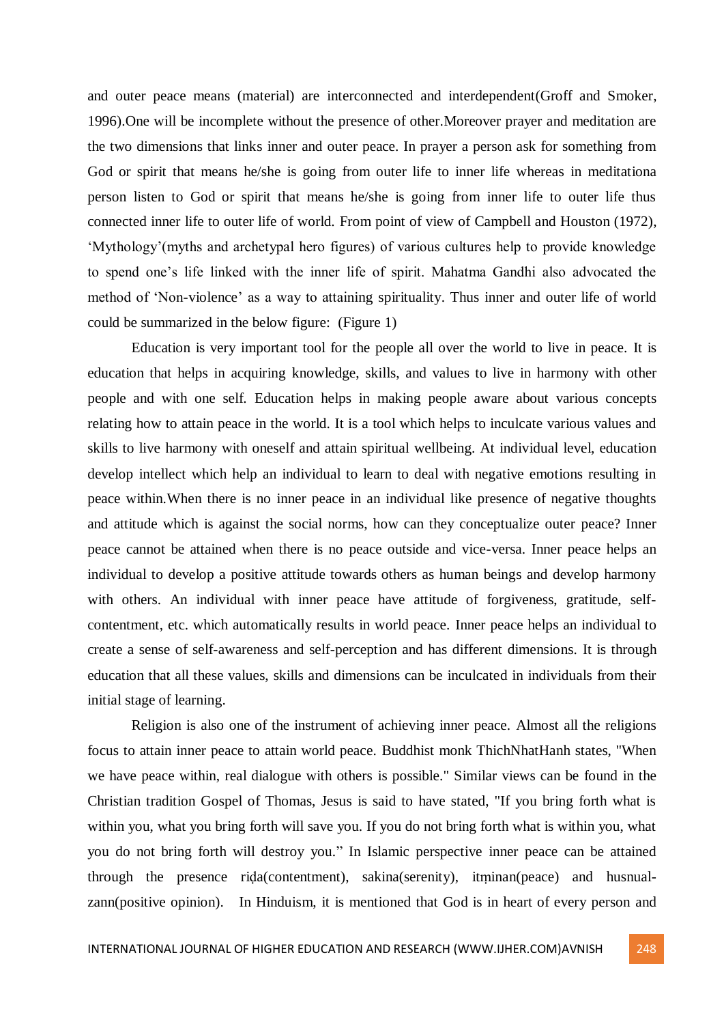and outer peace means (material) are interconnected and interdependent(Groff and Smoker, 1996).One will be incomplete without the presence of other.Moreover prayer and meditation are the two dimensions that links inner and outer peace. In prayer a person ask for something from God or spirit that means he/she is going from outer life to inner life whereas in meditationa person listen to God or spirit that means he/she is going from inner life to outer life thus connected inner life to outer life of world. From point of view of Campbell and Houston (1972), 'Mythology'(myths and archetypal hero figures) of various cultures help to provide knowledge to spend one's life linked with the inner life of spirit. Mahatma Gandhi also advocated the method of 'Non-violence' as a way to attaining spirituality. Thus inner and outer life of world could be summarized in the below figure: (Figure 1)

Education is very important tool for the people all over the world to live in peace. It is education that helps in acquiring knowledge, skills, and values to live in harmony with other people and with one self. Education helps in making people aware about various concepts relating how to attain peace in the world. It is a tool which helps to inculcate various values and skills to live harmony with oneself and attain spiritual wellbeing. At individual level, education develop intellect which help an individual to learn to deal with negative emotions resulting in peace within.When there is no inner peace in an individual like presence of negative thoughts and attitude which is against the social norms, how can they conceptualize outer peace? Inner peace cannot be attained when there is no peace outside and vice-versa. Inner peace helps an individual to develop a positive attitude towards others as human beings and develop harmony with others. An individual with inner peace have attitude of forgiveness, gratitude, selfcontentment, etc. which automatically results in world peace. Inner peace helps an individual to create a sense of self-awareness and self-perception and has different dimensions. It is through education that all these values, skills and dimensions can be inculcated in individuals from their initial stage of learning.

Religion is also one of the instrument of achieving inner peace. Almost all the religions focus to attain inner peace to attain world peace. Buddhist monk ThichNhatHanh states, "When we have peace within, real dialogue with others is possible." Similar views can be found in the Christian tradition Gospel of Thomas, Jesus is said to have stated, "If you bring forth what is within you, what you bring forth will save you. If you do not bring forth what is within you, what you do not bring forth will destroy you." In Islamic perspective inner peace can be attained through the presence riḍa(contentment), sakina(serenity), itṃinan(peace) and husnualzann(positive opinion). In Hinduism, it is mentioned that God is in heart of every person and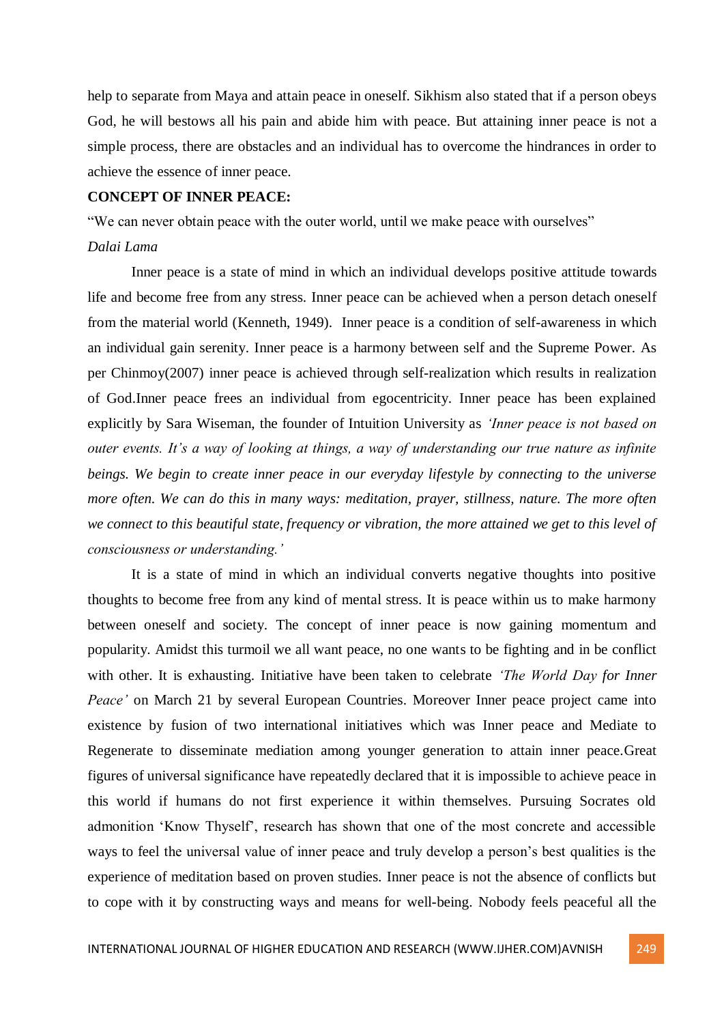help to separate from Maya and attain peace in oneself. Sikhism also stated that if a person obeys God, he will bestows all his pain and abide him with peace. But attaining inner peace is not a simple process, there are obstacles and an individual has to overcome the hindrances in order to achieve the essence of inner peace.

# **CONCEPT OF INNER PEACE:**

"We can never obtain peace with the outer world, until we make peace with ourselves"

#### *Dalai Lama*

Inner peace is a state of mind in which an individual develops positive attitude towards life and become free from any stress. Inner peace can be achieved when a person detach oneself from the material world (Kenneth, 1949). Inner peace is a condition of self-awareness in which an individual gain serenity. Inner peace is a harmony between self and the Supreme Power. As per Chinmoy(2007) inner peace is achieved through self-realization which results in realization of God.Inner peace frees an individual from egocentricity. Inner peace has been explained explicitly by Sara Wiseman, the founder of Intuition University as *'Inner peace is not based on outer events. It's a way of looking at things, a way of understanding our true nature as infinite beings. We begin to create inner peace in our everyday lifestyle by connecting to the universe more often. We can do this in many ways: meditation, prayer, stillness, nature. The more often we connect to this beautiful state, frequency or vibration, the more attained we get to this level of consciousness or understanding.'*

It is a state of mind in which an individual converts negative thoughts into positive thoughts to become free from any kind of mental stress. It is peace within us to make harmony between oneself and society. The concept of inner peace is now gaining momentum and popularity. Amidst this turmoil we all want peace, no one wants to be fighting and in be conflict with other. It is exhausting. Initiative have been taken to celebrate *'The World Day for Inner Peace'* on March 21 by several European Countries. Moreover Inner peace project came into existence by fusion of two international initiatives which was Inner peace and Mediate to Regenerate to disseminate mediation among younger generation to attain inner peace.Great figures of universal significance have repeatedly declared that it is impossible to achieve peace in this world if humans do not first experience it within themselves. Pursuing Socrates old admonition 'Know Thyself', research has shown that one of the most concrete and accessible ways to feel the universal value of inner peace and truly develop a person's best qualities is the experience of meditation based on proven studies. Inner peace is not the absence of conflicts but to cope with it by constructing ways and means for well-being. Nobody feels peaceful all the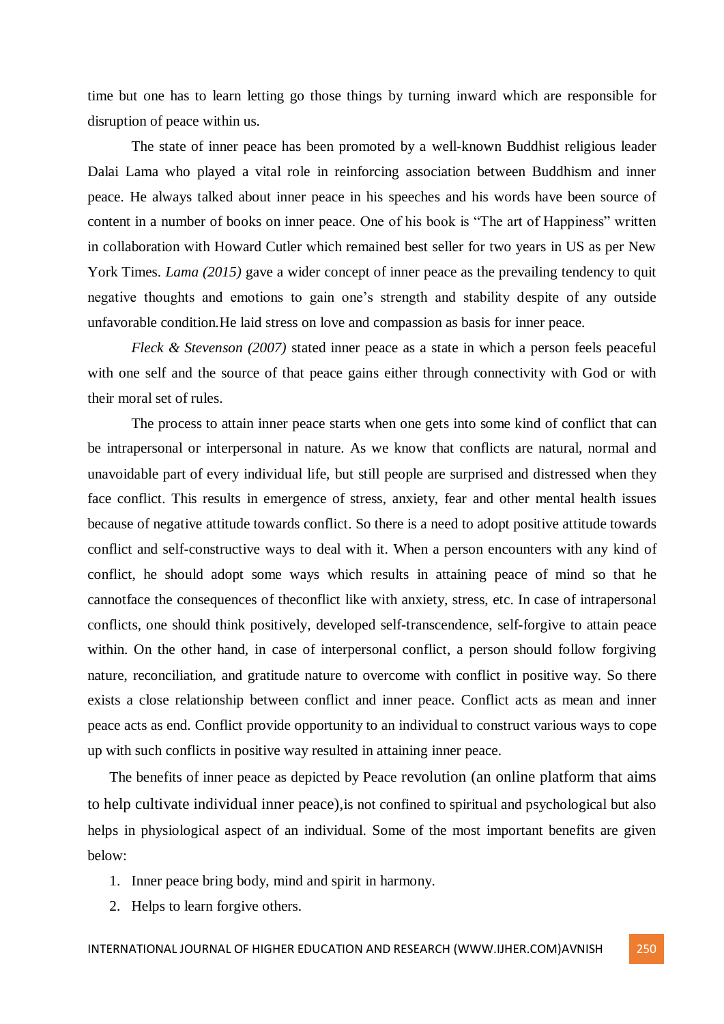time but one has to learn letting go those things by turning inward which are responsible for disruption of peace within us.

The state of inner peace has been promoted by a well-known Buddhist religious leader Dalai Lama who played a vital role in reinforcing association between Buddhism and inner peace. He always talked about inner peace in his speeches and his words have been source of content in a number of books on inner peace. One of his book is "The art of Happiness" written in collaboration with Howard Cutler which remained best seller for two years in US as per New York Times. *Lama* (2015) gave a wider concept of inner peace as the prevailing tendency to quit negative thoughts and emotions to gain one's strength and stability despite of any outside unfavorable condition*.*He laid stress on love and compassion as basis for inner peace.

*Fleck & Stevenson (2007)* stated inner peace as a state in which a person feels peaceful with one self and the source of that peace gains either through connectivity with God or with their moral set of rules.

The process to attain inner peace starts when one gets into some kind of conflict that can be intrapersonal or interpersonal in nature. As we know that conflicts are natural, normal and unavoidable part of every individual life, but still people are surprised and distressed when they face conflict. This results in emergence of stress, anxiety, fear and other mental health issues because of negative attitude towards conflict. So there is a need to adopt positive attitude towards conflict and self-constructive ways to deal with it. When a person encounters with any kind of conflict, he should adopt some ways which results in attaining peace of mind so that he cannotface the consequences of theconflict like with anxiety, stress, etc. In case of intrapersonal conflicts, one should think positively, developed self-transcendence, self-forgive to attain peace within. On the other hand, in case of interpersonal conflict, a person should follow forgiving nature, reconciliation, and gratitude nature to overcome with conflict in positive way. So there exists a close relationship between conflict and inner peace. Conflict acts as mean and inner peace acts as end. Conflict provide opportunity to an individual to construct various ways to cope up with such conflicts in positive way resulted in attaining inner peace.

The benefits of inner peace as depicted by Peace revolution (an online platform that aims to help cultivate individual inner peace),is not confined to spiritual and psychological but also helps in physiological aspect of an individual. Some of the most important benefits are given below:

- 1. Inner peace bring body, mind and spirit in harmony.
- 2. Helps to learn forgive others.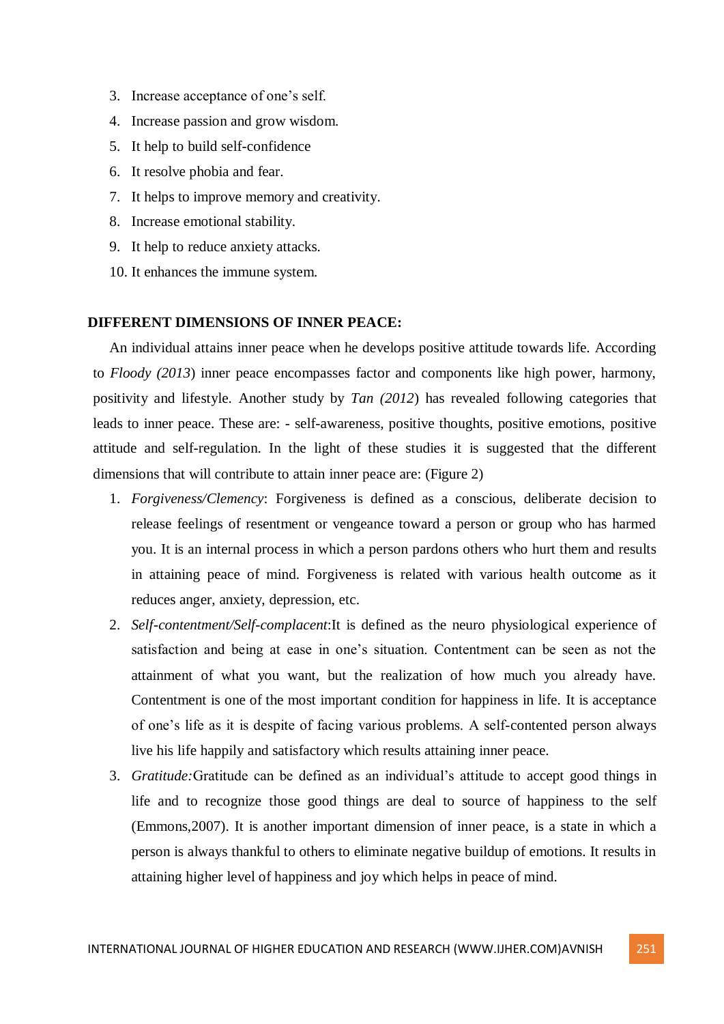- 3. Increase acceptance of one's self.
- 4. Increase passion and grow wisdom.
- 5. It help to build self-confidence
- 6. It resolve phobia and fear.
- 7. It helps to improve memory and creativity.
- 8. Increase emotional stability.
- 9. It help to reduce anxiety attacks.
- 10. It enhances the immune system.

## **DIFFERENT DIMENSIONS OF INNER PEACE:**

An individual attains inner peace when he develops positive attitude towards life. According to *Floody (2013*) inner peace encompasses factor and components like high power, harmony, positivity and lifestyle. Another study by *Tan (2012*) has revealed following categories that leads to inner peace. These are: - self-awareness, positive thoughts, positive emotions, positive attitude and self-regulation. In the light of these studies it is suggested that the different dimensions that will contribute to attain inner peace are: (Figure 2)

- 1. *Forgiveness/Clemency*: Forgiveness is defined as a conscious, deliberate decision to release feelings of resentment or vengeance toward a person or group who has harmed you. It is an internal process in which a person pardons others who hurt them and results in attaining peace of mind. Forgiveness is related with various health outcome as it reduces anger, anxiety, depression, etc.
- 2. *Self-contentment/Self-complacent*:It is defined as the neuro physiological experience of satisfaction and being at ease in one's situation. Contentment can be seen as not the attainment of what you want, but the realization of how much you already have. Contentment is one of the most important condition for happiness in life. It is acceptance of one's life as it is despite of facing various problems. A self-contented person always live his life happily and satisfactory which results attaining inner peace.
- 3. *Gratitude:*Gratitude can be defined as an individual's attitude to accept good things in life and to recognize those good things are deal to source of happiness to the self (Emmons,2007). It is another important dimension of inner peace, is a state in which a person is always thankful to others to eliminate negative buildup of emotions. It results in attaining higher level of happiness and joy which helps in peace of mind.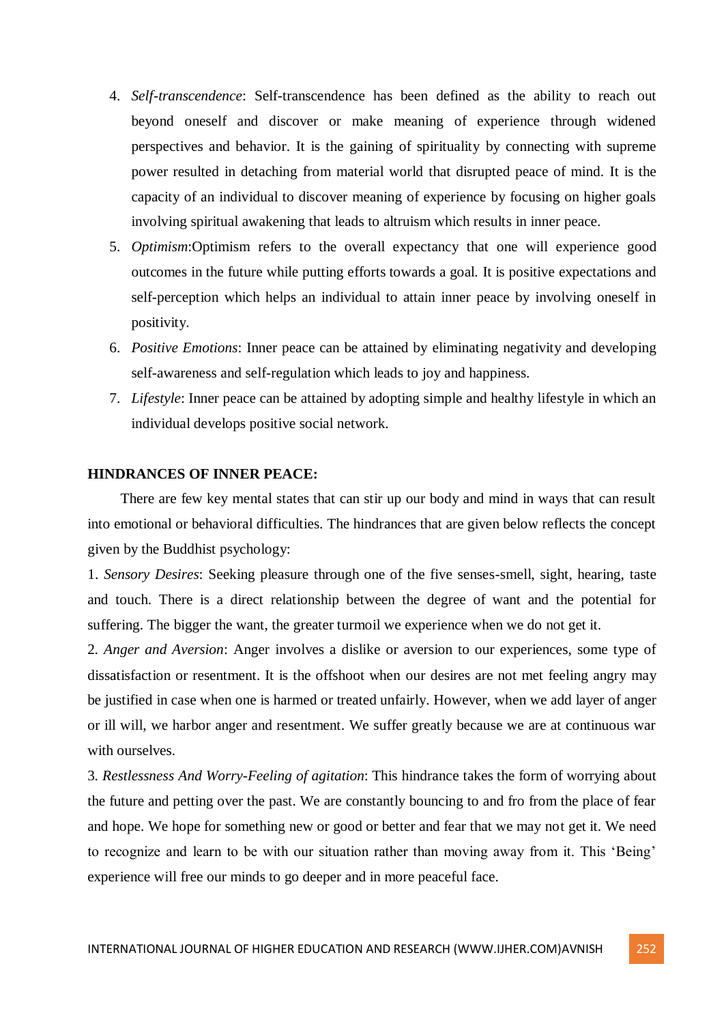- 4. *Self-transcendence*: Self-transcendence has been defined as the ability to reach out beyond oneself and discover or make meaning of experience through widened perspectives and behavior. It is the gaining of spirituality by connecting with supreme power resulted in detaching from material world that disrupted peace of mind. It is the capacity of an individual to discover meaning of experience by focusing on higher goals involving spiritual awakening that leads to altruism which results in inner peace.
- 5. *Optimism*:Optimism refers to the overall expectancy that one will experience good outcomes in the future while putting efforts towards a goal. It is positive expectations and self-perception which helps an individual to attain inner peace by involving oneself in positivity.
- 6. *Positive Emotions*: Inner peace can be attained by eliminating negativity and developing self-awareness and self-regulation which leads to joy and happiness.
- 7. *Lifestyle*: Inner peace can be attained by adopting simple and healthy lifestyle in which an individual develops positive social network.

# **HINDRANCES OF INNER PEACE:**

There are few key mental states that can stir up our body and mind in ways that can result into emotional or behavioral difficulties. The hindrances that are given below reflects the concept given by the Buddhist psychology:

1. *Sensory Desires*: Seeking pleasure through one of the five senses-smell, sight, hearing, taste and touch. There is a direct relationship between the degree of want and the potential for suffering. The bigger the want, the greater turmoil we experience when we do not get it.

2*. Anger and Aversion*: Anger involves a dislike or aversion to our experiences, some type of dissatisfaction or resentment. It is the offshoot when our desires are not met feeling angry may be justified in case when one is harmed or treated unfairly. However, when we add layer of anger or ill will, we harbor anger and resentment. We suffer greatly because we are at continuous war with ourselves.

3*. Restlessness And Worry-Feeling of agitation*: This hindrance takes the form of worrying about the future and petting over the past. We are constantly bouncing to and fro from the place of fear and hope. We hope for something new or good or better and fear that we may not get it. We need to recognize and learn to be with our situation rather than moving away from it. This 'Being' experience will free our minds to go deeper and in more peaceful face.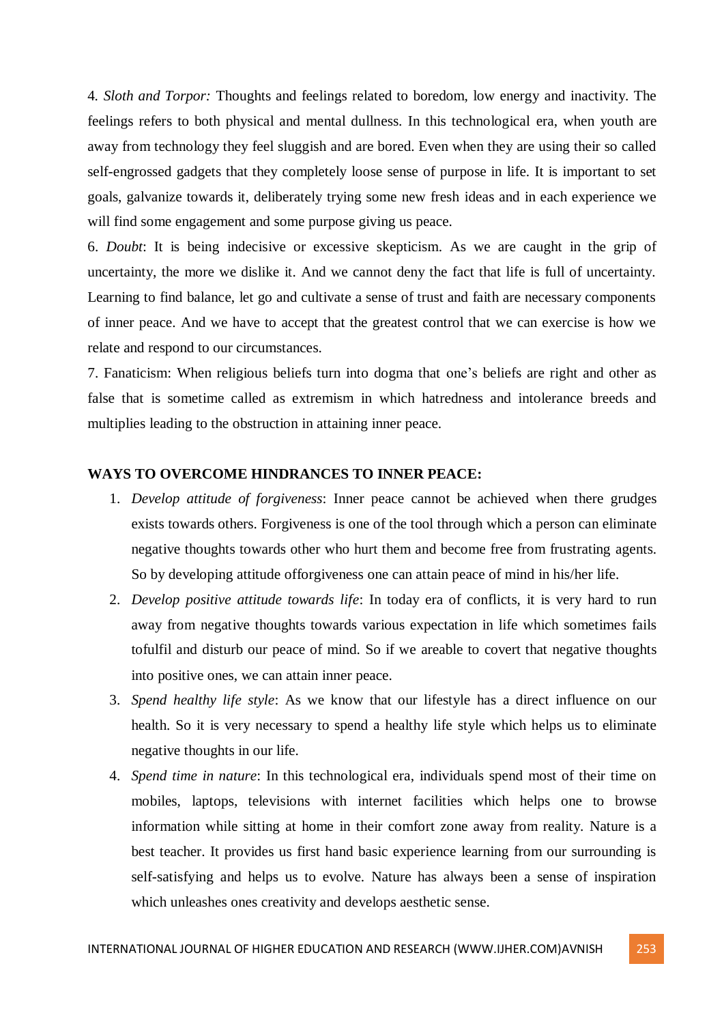4*. Sloth and Torpor:* Thoughts and feelings related to boredom, low energy and inactivity. The feelings refers to both physical and mental dullness. In this technological era, when youth are away from technology they feel sluggish and are bored. Even when they are using their so called self-engrossed gadgets that they completely loose sense of purpose in life. It is important to set goals, galvanize towards it, deliberately trying some new fresh ideas and in each experience we will find some engagement and some purpose giving us peace.

6. *Doubt*: It is being indecisive or excessive skepticism. As we are caught in the grip of uncertainty, the more we dislike it. And we cannot deny the fact that life is full of uncertainty. Learning to find balance, let go and cultivate a sense of trust and faith are necessary components of inner peace. And we have to accept that the greatest control that we can exercise is how we relate and respond to our circumstances.

7. Fanaticism: When religious beliefs turn into dogma that one's beliefs are right and other as false that is sometime called as extremism in which hatredness and intolerance breeds and multiplies leading to the obstruction in attaining inner peace.

## **WAYS TO OVERCOME HINDRANCES TO INNER PEACE:**

- 1. *Develop attitude of forgiveness*: Inner peace cannot be achieved when there grudges exists towards others. Forgiveness is one of the tool through which a person can eliminate negative thoughts towards other who hurt them and become free from frustrating agents. So by developing attitude offorgiveness one can attain peace of mind in his/her life.
- 2. *Develop positive attitude towards life*: In today era of conflicts, it is very hard to run away from negative thoughts towards various expectation in life which sometimes fails tofulfil and disturb our peace of mind. So if we areable to covert that negative thoughts into positive ones, we can attain inner peace.
- 3. *Spend healthy life style*: As we know that our lifestyle has a direct influence on our health. So it is very necessary to spend a healthy life style which helps us to eliminate negative thoughts in our life.
- 4. *Spend time in nature*: In this technological era, individuals spend most of their time on mobiles, laptops, televisions with internet facilities which helps one to browse information while sitting at home in their comfort zone away from reality. Nature is a best teacher. It provides us first hand basic experience learning from our surrounding is self-satisfying and helps us to evolve. Nature has always been a sense of inspiration which unleashes ones creativity and develops aesthetic sense.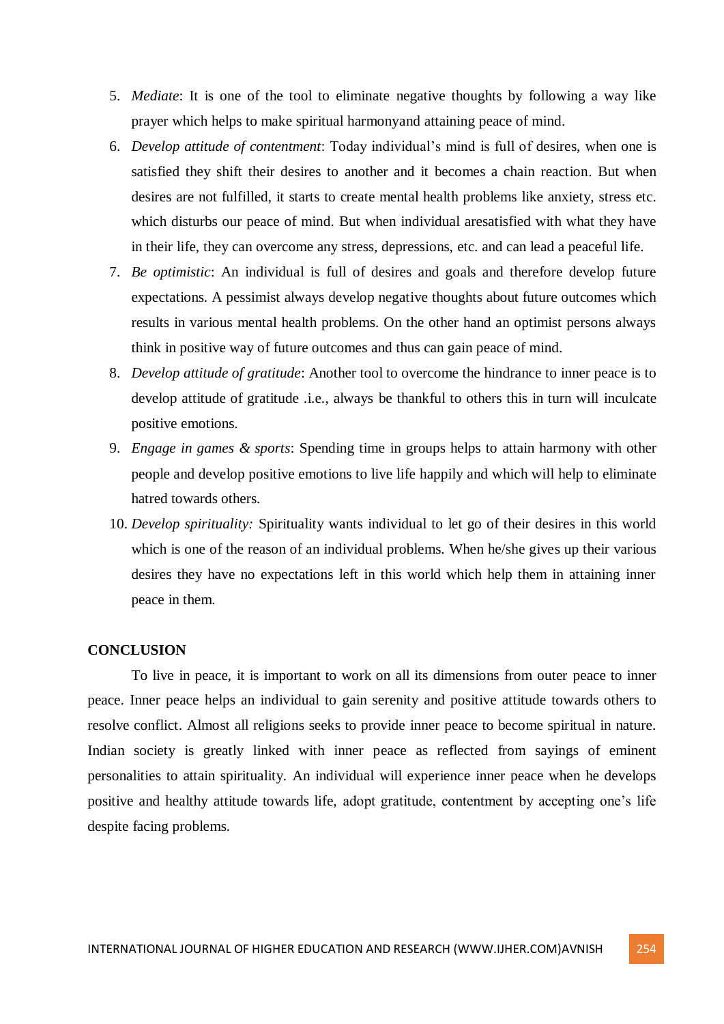- 5. *Mediate*: It is one of the tool to eliminate negative thoughts by following a way like prayer which helps to make spiritual harmonyand attaining peace of mind.
- 6. *Develop attitude of contentment*: Today individual's mind is full of desires, when one is satisfied they shift their desires to another and it becomes a chain reaction. But when desires are not fulfilled, it starts to create mental health problems like anxiety, stress etc. which disturbs our peace of mind. But when individual aresatisfied with what they have in their life, they can overcome any stress, depressions, etc. and can lead a peaceful life.
- 7. *Be optimistic*: An individual is full of desires and goals and therefore develop future expectations. A pessimist always develop negative thoughts about future outcomes which results in various mental health problems. On the other hand an optimist persons always think in positive way of future outcomes and thus can gain peace of mind.
- 8. *Develop attitude of gratitude*: Another tool to overcome the hindrance to inner peace is to develop attitude of gratitude .i.e., always be thankful to others this in turn will inculcate positive emotions.
- 9. *Engage in games & sports*: Spending time in groups helps to attain harmony with other people and develop positive emotions to live life happily and which will help to eliminate hatred towards others.
- 10. *Develop spirituality:* Spirituality wants individual to let go of their desires in this world which is one of the reason of an individual problems. When he/she gives up their various desires they have no expectations left in this world which help them in attaining inner peace in them.

## **CONCLUSION**

To live in peace, it is important to work on all its dimensions from outer peace to inner peace. Inner peace helps an individual to gain serenity and positive attitude towards others to resolve conflict. Almost all religions seeks to provide inner peace to become spiritual in nature. Indian society is greatly linked with inner peace as reflected from sayings of eminent personalities to attain spirituality. An individual will experience inner peace when he develops positive and healthy attitude towards life, adopt gratitude, contentment by accepting one's life despite facing problems.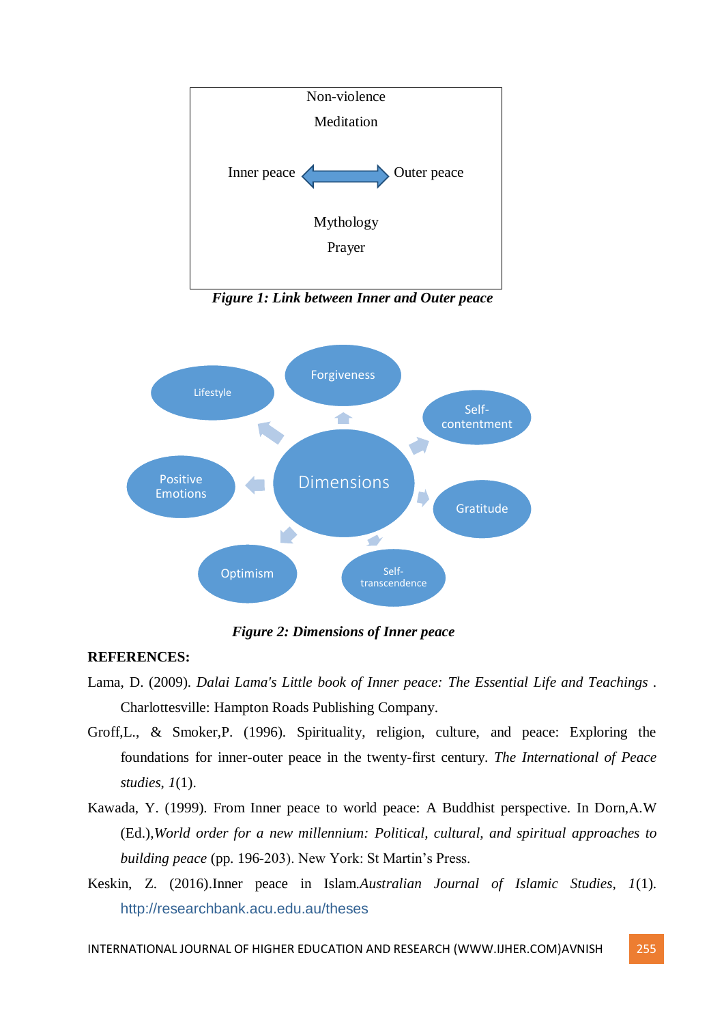

 *Figure 1: Link between Inner and Outer peace*



 *Figure 2: Dimensions of Inner peace*

# **REFERENCES:**

- Lama, D. (2009). *Dalai Lama's Little book of Inner peace: The Essential Life and Teachings .* Charlottesville: Hampton Roads Publishing Company.
- Groff,L., & Smoker,P. (1996). Spirituality, religion, culture, and peace: Exploring the foundations for inner-outer peace in the twenty-first century. *The International of Peace studies*, *1*(1).
- Kawada, Y. (1999). From Inner peace to world peace: A Buddhist perspective. In Dorn,A.W (Ed.),*World order for a new millennium: Political, cultural, and spiritual approaches to building peace* (pp. 196-203). New York: St Martin's Press.
- Keskin, Z. (2016).Inner peace in Islam.*Australian Journal of Islamic Studies, 1*(1). http://researchbank.acu.edu.au/theses